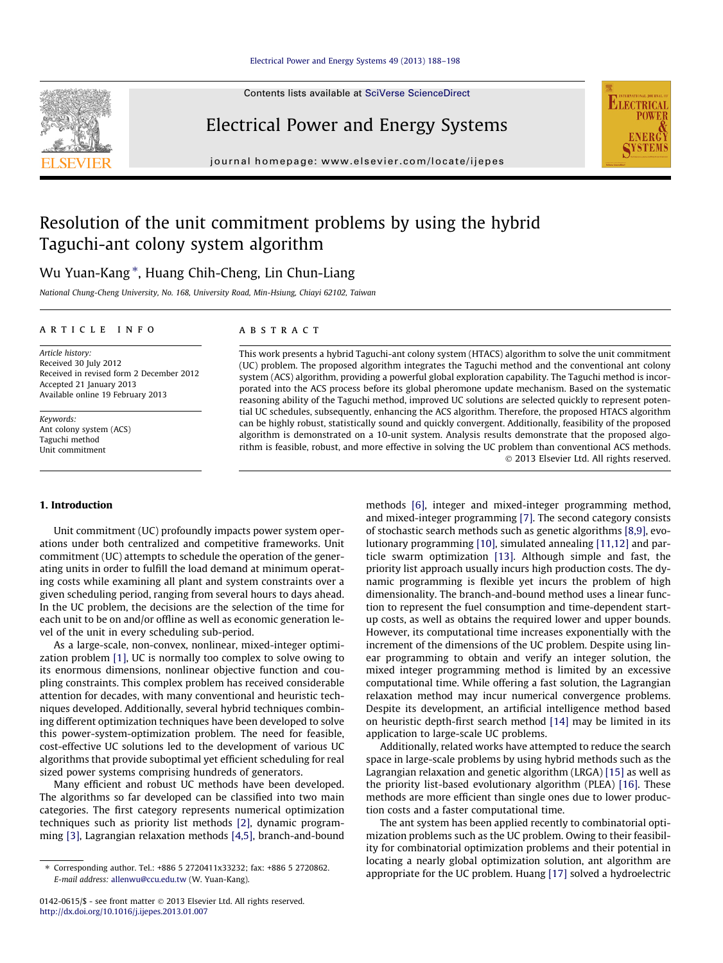#### [Electrical Power and Energy Systems 49 \(2013\) 188–198](http://dx.doi.org/10.1016/j.ijepes.2013.01.007)

Contents lists available at [SciVerse ScienceDirect](http://www.sciencedirect.com/science/journal/01420615)

Electrical Power and Energy Systems

journal homepage: [www.elsevier.com/locate/ijepes](http://www.elsevier.com/locate/ijepes)

## Resolution of the unit commitment problems by using the hybrid Taguchi-ant colony system algorithm

### Wu Yuan-Kang \*, Huang Chih-Cheng, Lin Chun-Liang

National Chung-Cheng University, No. 168, University Road, Min-Hsiung, Chiayi 62102, Taiwan

#### article info

Article history: Received 30 July 2012 Received in revised form 2 December 2012 Accepted 21 January 2013 Available online 19 February 2013

Keywords: Ant colony system (ACS) Taguchi method Unit commitment

#### **ABSTRACT**

This work presents a hybrid Taguchi-ant colony system (HTACS) algorithm to solve the unit commitment (UC) problem. The proposed algorithm integrates the Taguchi method and the conventional ant colony system (ACS) algorithm, providing a powerful global exploration capability. The Taguchi method is incorporated into the ACS process before its global pheromone update mechanism. Based on the systematic reasoning ability of the Taguchi method, improved UC solutions are selected quickly to represent potential UC schedules, subsequently, enhancing the ACS algorithm. Therefore, the proposed HTACS algorithm can be highly robust, statistically sound and quickly convergent. Additionally, feasibility of the proposed algorithm is demonstrated on a 10-unit system. Analysis results demonstrate that the proposed algorithm is feasible, robust, and more effective in solving the UC problem than conventional ACS methods. - 2013 Elsevier Ltd. All rights reserved.

#### 1. Introduction

Unit commitment (UC) profoundly impacts power system operations under both centralized and competitive frameworks. Unit commitment (UC) attempts to schedule the operation of the generating units in order to fulfill the load demand at minimum operating costs while examining all plant and system constraints over a given scheduling period, ranging from several hours to days ahead. In the UC problem, the decisions are the selection of the time for each unit to be on and/or offline as well as economic generation level of the unit in every scheduling sub-period.

As a large-scale, non-convex, nonlinear, mixed-integer optimization problem [\[1\]](#page--1-0), UC is normally too complex to solve owing to its enormous dimensions, nonlinear objective function and coupling constraints. This complex problem has received considerable attention for decades, with many conventional and heuristic techniques developed. Additionally, several hybrid techniques combining different optimization techniques have been developed to solve this power-system-optimization problem. The need for feasible, cost-effective UC solutions led to the development of various UC algorithms that provide suboptimal yet efficient scheduling for real sized power systems comprising hundreds of generators.

Many efficient and robust UC methods have been developed. The algorithms so far developed can be classified into two main categories. The first category represents numerical optimization techniques such as priority list methods [\[2\]](#page--1-0), dynamic programming [\[3\],](#page--1-0) Lagrangian relaxation methods [\[4,5\]](#page--1-0), branch-and-bound methods [\[6\]](#page--1-0), integer and mixed-integer programming method, and mixed-integer programming [\[7\]](#page--1-0). The second category consists of stochastic search methods such as genetic algorithms [\[8,9\]](#page--1-0), evolutionary programming [\[10\]](#page--1-0), simulated annealing [\[11,12\]](#page--1-0) and particle swarm optimization [\[13\]](#page--1-0). Although simple and fast, the priority list approach usually incurs high production costs. The dynamic programming is flexible yet incurs the problem of high dimensionality. The branch-and-bound method uses a linear function to represent the fuel consumption and time-dependent startup costs, as well as obtains the required lower and upper bounds. However, its computational time increases exponentially with the increment of the dimensions of the UC problem. Despite using linear programming to obtain and verify an integer solution, the mixed integer programming method is limited by an excessive computational time. While offering a fast solution, the Lagrangian relaxation method may incur numerical convergence problems. Despite its development, an artificial intelligence method based on heuristic depth-first search method [\[14\]](#page--1-0) may be limited in its application to large-scale UC problems.

Additionally, related works have attempted to reduce the search space in large-scale problems by using hybrid methods such as the Lagrangian relaxation and genetic algorithm (LRGA) [\[15\]](#page--1-0) as well as the priority list-based evolutionary algorithm (PLEA) [\[16\].](#page--1-0) These methods are more efficient than single ones due to lower production costs and a faster computational time.

The ant system has been applied recently to combinatorial optimization problems such as the UC problem. Owing to their feasibility for combinatorial optimization problems and their potential in locating a nearly global optimization solution, ant algorithm are appropriate for the UC problem. Huang [\[17\]](#page--1-0) solved a hydroelectric





<sup>⇑</sup> Corresponding author. Tel.: +886 5 2720411x33232; fax: +886 5 2720862. E-mail address: [allenwu@ccu.edu.tw](mailto:allenwu@ccu.edu.tw) (W. Yuan-Kang).

<sup>0142-0615/\$ -</sup> see front matter © 2013 Elsevier Ltd. All rights reserved. <http://dx.doi.org/10.1016/j.ijepes.2013.01.007>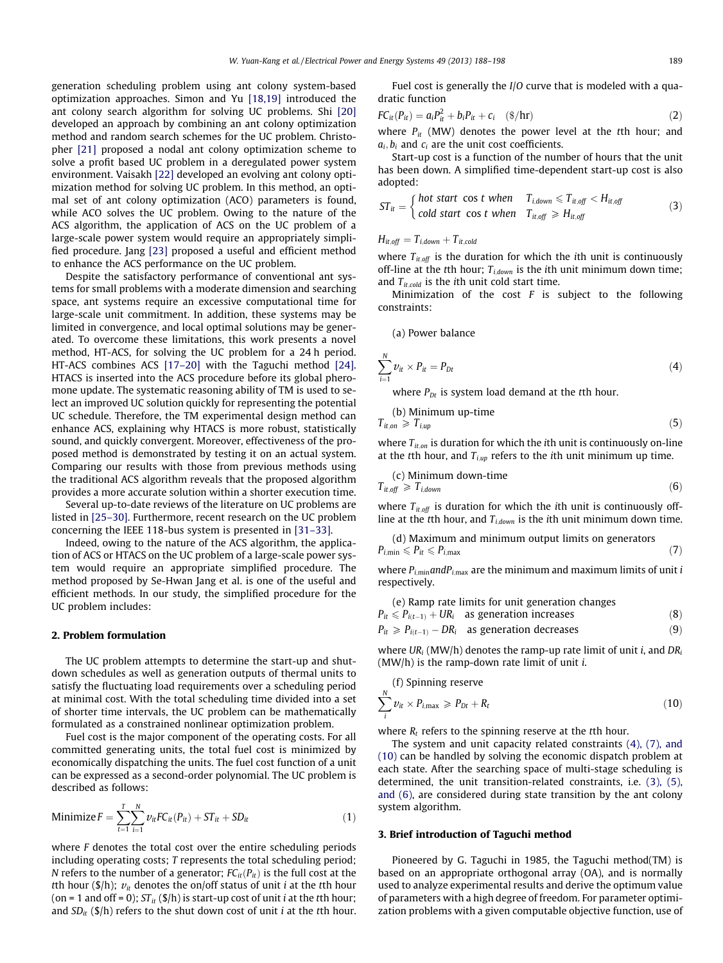generation scheduling problem using ant colony system-based optimization approaches. Simon and Yu [\[18,19\]](#page--1-0) introduced the ant colony search algorithm for solving UC problems. Shi [\[20\]](#page--1-0) developed an approach by combining an ant colony optimization method and random search schemes for the UC problem. Christopher [\[21\]](#page--1-0) proposed a nodal ant colony optimization scheme to solve a profit based UC problem in a deregulated power system environment. Vaisakh [\[22\]](#page--1-0) developed an evolving ant colony optimization method for solving UC problem. In this method, an optimal set of ant colony optimization (ACO) parameters is found, while ACO solves the UC problem. Owing to the nature of the ACS algorithm, the application of ACS on the UC problem of a large-scale power system would require an appropriately simplified procedure. Jang [\[23\]](#page--1-0) proposed a useful and efficient method to enhance the ACS performance on the UC problem.

Despite the satisfactory performance of conventional ant systems for small problems with a moderate dimension and searching space, ant systems require an excessive computational time for large-scale unit commitment. In addition, these systems may be limited in convergence, and local optimal solutions may be generated. To overcome these limitations, this work presents a novel method, HT-ACS, for solving the UC problem for a 24 h period. HT-ACS combines ACS [\[17–20\]](#page--1-0) with the Taguchi method [\[24\].](#page--1-0) HTACS is inserted into the ACS procedure before its global pheromone update. The systematic reasoning ability of TM is used to select an improved UC solution quickly for representing the potential UC schedule. Therefore, the TM experimental design method can enhance ACS, explaining why HTACS is more robust, statistically sound, and quickly convergent. Moreover, effectiveness of the proposed method is demonstrated by testing it on an actual system. Comparing our results with those from previous methods using the traditional ACS algorithm reveals that the proposed algorithm provides a more accurate solution within a shorter execution time.

Several up-to-date reviews of the literature on UC problems are listed in [\[25–30\]](#page--1-0). Furthermore, recent research on the UC problem concerning the IEEE 118-bus system is presented in [\[31–33\]](#page--1-0).

Indeed, owing to the nature of the ACS algorithm, the application of ACS or HTACS on the UC problem of a large-scale power system would require an appropriate simplified procedure. The method proposed by Se-Hwan Jang et al. is one of the useful and efficient methods. In our study, the simplified procedure for the UC problem includes:

#### 2. Problem formulation

The UC problem attempts to determine the start-up and shutdown schedules as well as generation outputs of thermal units to satisfy the fluctuating load requirements over a scheduling period at minimal cost. With the total scheduling time divided into a set of shorter time intervals, the UC problem can be mathematically formulated as a constrained nonlinear optimization problem.

Fuel cost is the major component of the operating costs. For all committed generating units, the total fuel cost is minimized by economically dispatching the units. The fuel cost function of a unit can be expressed as a second-order polynomial. The UC problem is described as follows:

Minimize 
$$
F = \sum_{t=1}^{T} \sum_{i=1}^{N} v_{it} F C_{it} (P_{it}) + ST_{it} + SD_{it}
$$
 (1)

where F denotes the total cost over the entire scheduling periods including operating costs; T represents the total scheduling period; N refers to the number of a generator;  $FC_{it}(P_{it})$  is the full cost at the tth hour (\$/h);  $v_{it}$  denotes the on/off status of unit *i* at the tth hour (on = 1 and off = 0);  $ST_{it}$  (\$/h) is start-up cost of unit *i* at the *t*th hour; and  $SD_{it}$  (\$/h) refers to the shut down cost of unit *i* at the *t*th hour.

Fuel cost is generally the I/O curve that is modeled with a quadratic function

$$
FC_{it}(P_{it}) = a_i P_{it}^2 + b_i P_{it} + c_i \quad (\text{\textcircled{\#}}/hr) \tag{2}
$$

where  $P_{it}$  (MW) denotes the power level at the tth hour; and  $a_i$ ,  $b_i$  and  $c_i$  are the unit cost coefficients.

Start-up cost is a function of the number of hours that the unit has been down. A simplified time-dependent start-up cost is also adopted:

$$
ST_{it} = \begin{cases} hot start \cos t \text{ when } & T_{i,down} \le T_{it,off} < H_{it,off} \\ cold start \cos t \text{ when } & T_{it,off} \ge H_{it,off} \end{cases}
$$
 (3)

 $H_{it,off} = T_{i,down} + T_{it,cold}$ 

where  $T_{it,off}$  is the duration for which the *i*th unit is continuously off-line at the tth hour;  $T_{i,down}$  is the ith unit minimum down time; and  $T_{itcold}$  is the *i*th unit cold start time.

Minimization of the cost  $F$  is subject to the following constraints:

(a) Power balance

$$
\sum_{i=1}^{N} \nu_{it} \times P_{it} = P_{Dt} \tag{4}
$$

where  $P_{Dt}$  is system load demand at the tth hour.

(b) Minimum up-time  
\n
$$
T_{it,on} \geqslant T_{i,up}
$$
\n
$$
(5)
$$

where  $T_{it,on}$  is duration for which the *i*th unit is continuously on-line at the tth hour, and  $T_{i,up}$  refers to the *i*th unit minimum up time.

(c) Minimum down-time

$$
T_{it,off} \geqslant T_{i,down} \tag{6}
$$

where  $T_{it,off}$  is duration for which the *i*th unit is continuously offline at the tth hour, and  $T_{i,down}$  is the ith unit minimum down time.

(d) Maximum and minimum output limits on generators 
$$
P_{i,\min} \leq P_{it} \leq P_{i,\max}
$$
 (7)

where  $P_{i,min}$  and  $P_{i,max}$  are the minimum and maximum limits of unit i respectively.

(e) Ramp rate limits for unit generation changes  
\n
$$
P_{it} \leq P_{i(t-1)} + UR_i
$$
 as generation increases\n
$$
(8)
$$

$$
P_{it} \geqslant P_{i(t-1)} - DR_i \quad \text{as generation decreases} \tag{9}
$$

where  $UR_i$  (MW/h) denotes the ramp-up rate limit of unit *i*, and  $DR_i$ (MW/h) is the ramp-down rate limit of unit i.

(f) Spinning reserve  
\n
$$
\sum_{i}^{N} v_{it} \times P_{i, \text{max}} \ge P_{Dt} + R_t
$$
\n(10)

where  $R_t$  refers to the spinning reserve at the tth hour.

The system and unit capacity related constraints (4), (7), and (10) can be handled by solving the economic dispatch problem at each state. After the searching space of multi-stage scheduling is determined, the unit transition-related constraints, i.e. (3), (5), and (6), are considered during state transition by the ant colony system algorithm.

#### 3. Brief introduction of Taguchi method

Pioneered by G. Taguchi in 1985, the Taguchi method(TM) is based on an appropriate orthogonal array (OA), and is normally used to analyze experimental results and derive the optimum value of parameters with a high degree of freedom. For parameter optimization problems with a given computable objective function, use of